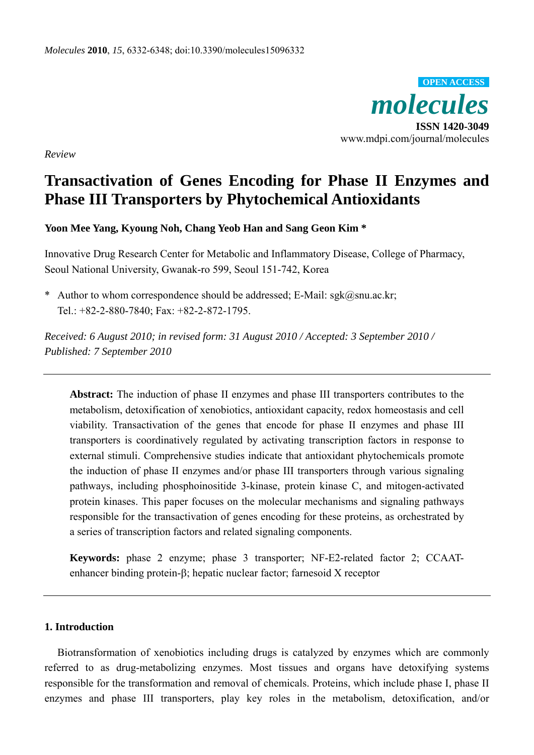

*Review* 

# **Transactivation of Genes Encoding for Phase II Enzymes and Phase III Transporters by Phytochemical Antioxidants**

**Yoon Mee Yang, Kyoung Noh, Chang Yeob Han and Sang Geon Kim \*** 

Innovative Drug Research Center for Metabolic and Inflammatory Disease, College of Pharmacy, Seoul National University, Gwanak-ro 599, Seoul 151-742, Korea

\* Author to whom correspondence should be addressed; E-Mail: sgk@snu.ac.kr; Tel.: +82-2-880-7840; Fax: +82-2-872-1795.

*Received: 6 August 2010; in revised form: 31 August 2010 / Accepted: 3 September 2010 / Published: 7 September 2010* 

**Abstract:** The induction of phase II enzymes and phase III transporters contributes to the metabolism, detoxification of xenobiotics, antioxidant capacity, redox homeostasis and cell viability. Transactivation of the genes that encode for phase II enzymes and phase III transporters is coordinatively regulated by activating transcription factors in response to external stimuli. Comprehensive studies indicate that antioxidant phytochemicals promote the induction of phase II enzymes and/or phase III transporters through various signaling pathways, including phosphoinositide 3-kinase, protein kinase C, and mitogen-activated protein kinases. This paper focuses on the molecular mechanisms and signaling pathways responsible for the transactivation of genes encoding for these proteins, as orchestrated by a series of transcription factors and related signaling components.

**Keywords:** phase 2 enzyme; phase 3 transporter; NF-E2-related factor 2; CCAATenhancer binding protein-β; hepatic nuclear factor; farnesoid X receptor

#### **1. Introduction**

Biotransformation of xenobiotics including drugs is catalyzed by enzymes which are commonly referred to as drug-metabolizing enzymes. Most tissues and organs have detoxifying systems responsible for the transformation and removal of chemicals. Proteins, which include phase I, phase II enzymes and phase III transporters, play key roles in the metabolism, detoxification, and/or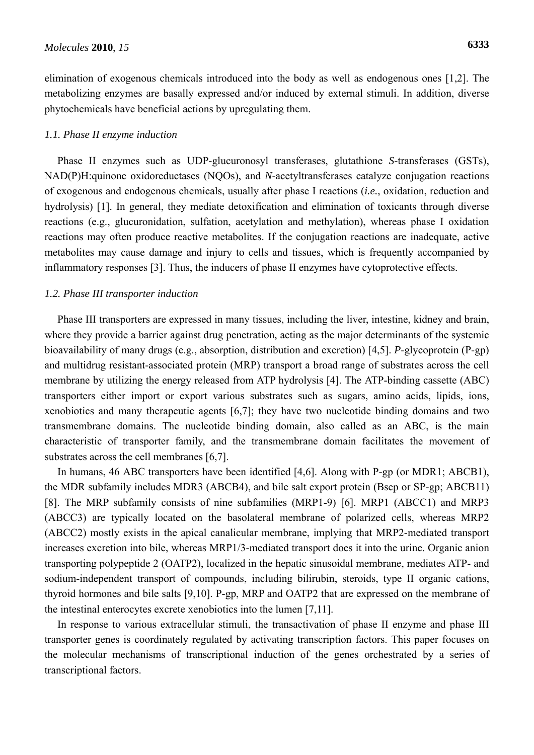elimination of exogenous chemicals introduced into the body as well as endogenous ones [1,2]. The metabolizing enzymes are basally expressed and/or induced by external stimuli. In addition, diverse phytochemicals have beneficial actions by upregulating them.

#### *1.1. Phase II enzyme induction*

Phase II enzymes such as UDP-glucuronosyl transferases, glutathione *S*-transferases (GSTs), NAD(P)H:quinone oxidoreductases (NQOs), and *N*-acetyltransferases catalyze conjugation reactions of exogenous and endogenous chemicals, usually after phase I reactions (*i.e.*, oxidation, reduction and hydrolysis) [1]. In general, they mediate detoxification and elimination of toxicants through diverse reactions (e.g., glucuronidation, sulfation, acetylation and methylation), whereas phase I oxidation reactions may often produce reactive metabolites. If the conjugation reactions are inadequate, active metabolites may cause damage and injury to cells and tissues, which is frequently accompanied by inflammatory responses [3]. Thus, the inducers of phase II enzymes have cytoprotective effects.

#### *1.2. Phase III transporter induction*

Phase III transporters are expressed in many tissues, including the liver, intestine, kidney and brain, where they provide a barrier against drug penetration, acting as the major determinants of the systemic bioavailability of many drugs (e.g., absorption, distribution and excretion) [4,5]. *P*-glycoprotein (P-gp) and multidrug resistant-associated protein (MRP) transport a broad range of substrates across the cell membrane by utilizing the energy released from ATP hydrolysis [4]. The ATP-binding cassette (ABC) transporters either import or export various substrates such as sugars, amino acids, lipids, ions, xenobiotics and many therapeutic agents [6,7]; they have two nucleotide binding domains and two transmembrane domains. The nucleotide binding domain, also called as an ABC, is the main characteristic of transporter family, and the transmembrane domain facilitates the movement of substrates across the cell membranes [6,7].

In humans, 46 ABC transporters have been identified [4,6]. Along with P-gp (or MDR1; ABCB1), the MDR subfamily includes MDR3 (ABCB4), and bile salt export protein (Bsep or SP-gp; ABCB11) [8]. The MRP subfamily consists of nine subfamilies (MRP1-9) [6]. MRP1 (ABCC1) and MRP3 (ABCC3) are typically located on the basolateral membrane of polarized cells, whereas MRP2 (ABCC2) mostly exists in the apical canalicular membrane, implying that MRP2-mediated transport increases excretion into bile, whereas MRP1/3-mediated transport does it into the urine. Organic anion transporting polypeptide 2 (OATP2), localized in the hepatic sinusoidal membrane, mediates ATP- and sodium-independent transport of compounds, including bilirubin, steroids, type II organic cations, thyroid hormones and bile salts [9,10]. P-gp, MRP and OATP2 that are expressed on the membrane of the intestinal enterocytes excrete xenobiotics into the lumen [7,11].

In response to various extracellular stimuli, the transactivation of phase II enzyme and phase III transporter genes is coordinately regulated by activating transcription factors. This paper focuses on the molecular mechanisms of transcriptional induction of the genes orchestrated by a series of transcriptional factors.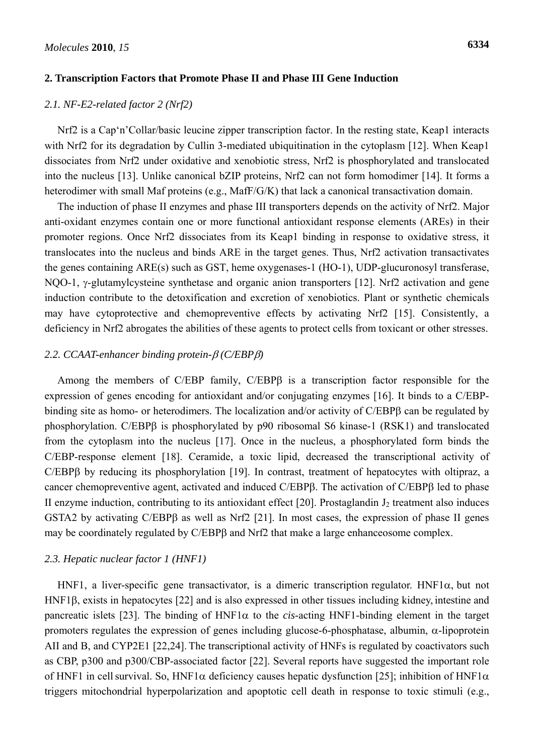#### **2. Transcription Factors that Promote Phase II and Phase III Gene Induction**

#### *2.1. NF-E2-related factor 2 (Nrf2)*

Nrf2 is a Cap'n'Collar/basic leucine zipper transcription factor. In the resting state, Keap1 interacts with Nrf2 for its degradation by Cullin 3-mediated ubiquitination in the cytoplasm [12]. When Keap1 dissociates from Nrf2 under oxidative and xenobiotic stress, Nrf2 is phosphorylated and translocated into the nucleus [13]. Unlike canonical bZIP proteins, Nrf2 can not form homodimer [14]. It forms a heterodimer with small Maf proteins (e.g., MafF/G/K) that lack a canonical transactivation domain.

The induction of phase II enzymes and phase III transporters depends on the activity of Nrf2. Major anti-oxidant enzymes contain one or more functional antioxidant response elements (AREs) in their promoter regions. Once Nrf2 dissociates from its Keap1 binding in response to oxidative stress, it translocates into the nucleus and binds ARE in the target genes. Thus, Nrf2 activation transactivates the genes containing ARE(s) such as GST, heme oxygenases-1 (HO-1), UDP-glucuronosyl transferase, NQO-1, γ-glutamylcysteine synthetase and organic anion transporters [12]. Nrf2 activation and gene induction contribute to the detoxification and excretion of xenobiotics. Plant or synthetic chemicals may have cytoprotective and chemopreventive effects by activating Nrf2 [15]. Consistently, a deficiency in Nrf2 abrogates the abilities of these agents to protect cells from toxicant or other stresses.

#### *2.2. CCAAT-enhancer binding protein-*β *(C/EBP*β*)*

Among the members of C/EBP family, C/EBPβ is a transcription factor responsible for the expression of genes encoding for antioxidant and/or conjugating enzymes [16]. It binds to a C/EBPbinding site as homo- or heterodimers. The localization and/or activity of C/EBPβ can be regulated by phosphorylation. C/EBPβ is phosphorylated by p90 ribosomal S6 kinase-1 (RSK1) and translocated from the cytoplasm into the nucleus [17]. Once in the nucleus, a phosphorylated form binds the C/EBP-response element [18]. Ceramide, a toxic lipid, decreased the transcriptional activity of C/EBPβ by reducing its phosphorylation [19]. In contrast, treatment of hepatocytes with oltipraz, a cancer chemopreventive agent, activated and induced C/EBPβ. The activation of C/EBPβ led to phase II enzyme induction, contributing to its antioxidant effect  $[20]$ . Prostaglandin  $J_2$  treatment also induces GSTA2 by activating C/EBPβ as well as Nrf2 [21]. In most cases, the expression of phase II genes may be coordinately regulated by C/EBPβ and Nrf2 that make a large enhanceosome complex.

#### *2.3. Hepatic nuclear factor 1 (HNF1)*

HNF1, a liver-specific gene transactivator, is a dimeric transcription regulator. HNF1 $\alpha$ , but not HNF1β, exists in hepatocytes [22] and is also expressed in other tissues including kidney, intestine and pancreatic islets [23]. The binding of  $HNF1\alpha$  to the *cis*-acting  $HNF1$ -binding element in the target promoters regulates the expression of genes including glucose-6-phosphatase, albumin, α-lipoprotein AII and B, and CYP2E1 [22,24]. The transcriptional activity of HNFs is regulated by coactivators such as CBP, p300 and p300/CBP-associated factor [22]. Several reports have suggested the important role of HNF1 in cell survival. So, HNF1 $\alpha$  deficiency causes hepatic dysfunction [25]; inhibition of HNF1 $\alpha$ triggers mitochondrial hyperpolarization and apoptotic cell death in response to toxic stimuli (e.g.,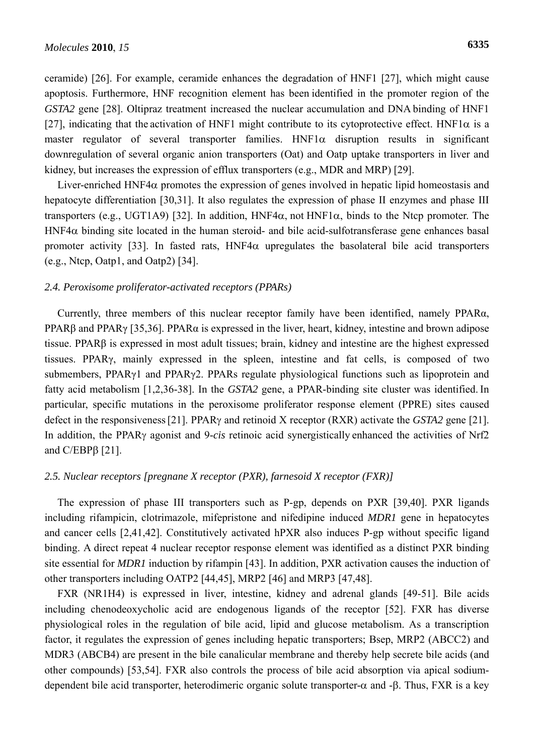ceramide) [26]. For example, ceramide enhances the degradation of HNF1 [27], which might cause apoptosis. Furthermore, HNF recognition element has been identified in the promoter region of the *GSTA2* gene [28]. Oltipraz treatment increased the nuclear accumulation and DNA binding of HNF1 [27], indicating that the activation of HNF1 might contribute to its cytoprotective effect. HNF1 $\alpha$  is a master regulator of several transporter families.  $HNF1\alpha$  disruption results in significant downregulation of several organic anion transporters (Oat) and Oatp uptake transporters in liver and kidney, but increases the expression of efflux transporters (e.g., MDR and MRP) [29].

Liver-enriched HNF4 $\alpha$  promotes the expression of genes involved in hepatic lipid homeostasis and hepatocyte differentiation [30,31]. It also regulates the expression of phase II enzymes and phase III transporters (e.g., UGT1A9) [32]. In addition, HNF4α, not HNF1α, binds to the Ntcp promoter. The HNF4 $\alpha$  binding site located in the human steroid- and bile acid-sulfotransferase gene enhances basal promoter activity [33]. In fasted rats,  $HNF4\alpha$  upregulates the basolateral bile acid transporters (e.g., Ntcp, Oatp1, and Oatp2) [34].

#### *2.4. Peroxisome proliferator-activated receptors (PPARs)*

Currently, three members of this nuclear receptor family have been identified, namely PPARα, PPARβ and PPARγ [35,36]. PPARα is expressed in the liver, heart, kidney, intestine and brown adipose tissue. PPARβ is expressed in most adult tissues; brain, kidney and intestine are the highest expressed tissues. PPARγ, mainly expressed in the spleen, intestine and fat cells, is composed of two submembers, PPARγ1 and PPARγ2. PPARs regulate physiological functions such as lipoprotein and fatty acid metabolism [1,2,36-38]. In the *GSTA2* gene, a PPAR-binding site cluster was identified. In particular, specific mutations in the peroxisome proliferator response element (PPRE) sites caused defect in the responsiveness[21]. PPARγ and retinoid X receptor (RXR) activate the *GSTA2* gene [21]. In addition, the PPARγ agonist and 9-*cis* retinoic acid synergistically enhanced the activities of Nrf2 and C/EBPβ [21].

## *2.5. Nuclear receptors [pregnane X receptor (PXR), farnesoid X receptor (FXR)]*

The expression of phase III transporters such as P-gp, depends on PXR [39,40]. PXR ligands including rifampicin, clotrimazole, mifepristone and nifedipine induced *MDR1* gene in hepatocytes and cancer cells [2,41,42]. Constitutively activated hPXR also induces P-gp without specific ligand binding. A direct repeat 4 nuclear receptor response element was identified as a distinct PXR binding site essential for *MDR1* induction by rifampin [43]. In addition, PXR activation causes the induction of other transporters including OATP2 [44,45], MRP2 [46] and MRP3 [47,48].

FXR (NR1H4) is expressed in liver, intestine, kidney and adrenal glands [49-51]. Bile acids including chenodeoxycholic acid are endogenous ligands of the receptor [52]. FXR has diverse physiological roles in the regulation of bile acid, lipid and glucose metabolism. As a transcription factor, it regulates the expression of genes including hepatic transporters; Bsep, MRP2 (ABCC2) and MDR3 (ABCB4) are present in the bile canalicular membrane and thereby help secrete bile acids (and other compounds) [53,54]. FXR also controls the process of bile acid absorption via apical sodiumdependent bile acid transporter, heterodimeric organic solute transporter-α and -β. Thus, FXR is a key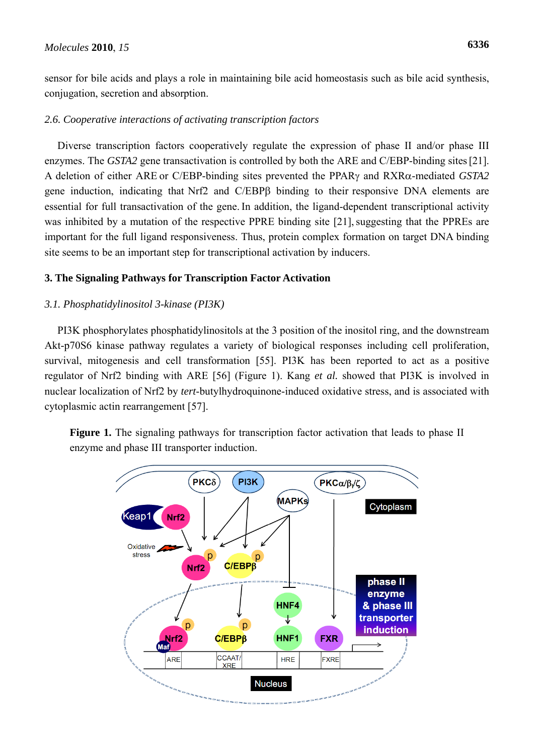sensor for bile acids and plays a role in maintaining bile acid homeostasis such as bile acid synthesis, conjugation, secretion and absorption.

## *2.6. Cooperative interactions of activating transcription factors*

Diverse transcription factors cooperatively regulate the expression of phase II and/or phase III enzymes. The *GSTA2* gene transactivation is controlled by both the ARE and *C*/EBP-binding sites [21]. A deletion of either ARE or C/EBP-binding sites prevented the PPARγ and RXRα-mediated *GSTA2* gene induction, indicating that Nrf2 and C/EBPβ binding to their responsive DNA elements are essential for full transactivation of the gene. In addition, the ligand-dependent transcriptional activity was inhibited by a mutation of the respective PPRE binding site [21], suggesting that the PPREs are important for the full ligand responsiveness. Thus, protein complex formation on target DNA binding site seems to be an important step for transcriptional activation by inducers.

# **3. The Signaling Pathways for Transcription Factor Activation**

# *3.1. Phosphatidylinositol 3-kinase (PI3K)*

PI3K phosphorylates phosphatidylinositols at the 3 position of the inositol ring, and the downstream Akt-p70S6 kinase pathway regulates a variety of biological responses including cell proliferation, survival, mitogenesis and cell transformation [55]. PI3K has been reported to act as a positive regulator of Nrf2 binding with ARE [56] (Figure 1). Kang *et al.* showed that PI3K is involved in nuclear localization of Nrf2 by *tert*-butylhydroquinone-induced oxidative stress, and is associated with cytoplasmic actin rearrangement [57].

**Figure 1.** The signaling pathways for transcription factor activation that leads to phase II enzyme and phase III transporter induction.

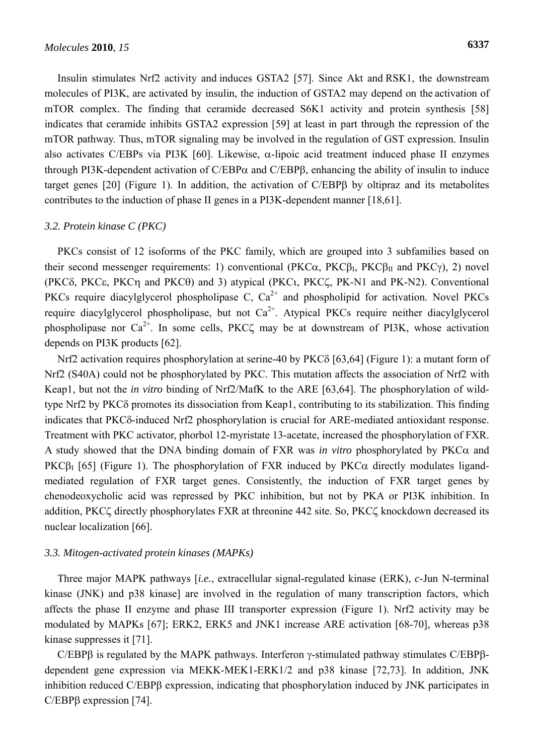Insulin stimulates Nrf2 activity and induces GSTA2 [57]. Since Akt and RSK1, the downstream molecules of PI3K, are activated by insulin, the induction of GSTA2 may depend on the activation of mTOR complex. The finding that ceramide decreased S6K1 activity and protein synthesis [58] indicates that ceramide inhibits GSTA2 expression [59] at least in part through the repression of the mTOR pathway. Thus, mTOR signaling may be involved in the regulation of GST expression. Insulin also activates C/EBPs via PI3K [60]. Likewise,  $\alpha$ -lipoic acid treatment induced phase II enzymes through PI3K-dependent activation of  $C/EBP\alpha$  and  $C/EBP\beta$ , enhancing the ability of insulin to induce target genes [20] (Figure 1). In addition, the activation of C/EBPβ by oltipraz and its metabolites contributes to the induction of phase II genes in a PI3K-dependent manner [18,61].

#### *3.2. Protein kinase C (PKC)*

PKCs consist of 12 isoforms of the PKC family, which are grouped into 3 subfamilies based on their second messenger requirements: 1) conventional (PKC $\alpha$ , PKC $\beta$ <sub>I</sub>, PKC $\beta$ <sub>II</sub> and PKC $\gamma$ ), 2) novel (PKCδ, PKCε, PKCη and PKCθ) and 3) atypical (PKCι, PKCζ, PK-N1 and PK-N2). Conventional PKCs require diacylglycerol phospholipase C,  $Ca^{2+}$  and phospholipid for activation. Novel PKCs require diacylglycerol phospholipase, but not  $Ca^{2+}$ . Atypical PKCs require neither diacylglycerol phospholipase nor  $Ca^{2+}$ . In some cells, PKC $\zeta$  may be at downstream of PI3K, whose activation depends on PI3K products [62].

Nrf2 activation requires phosphorylation at serine-40 by PKCδ [63,64] (Figure 1): a mutant form of Nrf2 (S40A) could not be phosphorylated by PKC. This mutation affects the association of Nrf2 with Keap1, but not the *in vitro* binding of Nrf2/MafK to the ARE [63,64]. The phosphorylation of wildtype Nrf2 by PKCδ promotes its dissociation from Keap1, contributing to its stabilization. This finding indicates that PKCδ-induced Nrf2 phosphorylation is crucial for ARE-mediated antioxidant response. Treatment with PKC activator, phorbol 12-myristate 13-acetate, increased the phosphorylation of FXR. A study showed that the DNA binding domain of FXR was *in vitro* phosphorylated by  $PKC\alpha$  and PKC $\beta$ <sub>I</sub> [65] (Figure 1). The phosphorylation of FXR induced by PKC $\alpha$  directly modulates ligandmediated regulation of FXR target genes. Consistently, the induction of FXR target genes by chenodeoxycholic acid was repressed by PKC inhibition, but not by PKA or PI3K inhibition. In addition, PKCζ directly phosphorylates FXR at threonine 442 site. So, PKCζ knockdown decreased its nuclear localization [66].

#### *3.3. Mitogen-activated protein kinases (MAPKs)*

Three major MAPK pathways [*i.e.*, extracellular signal-regulated kinase (ERK), *c*-Jun N-terminal kinase (JNK) and p38 kinase] are involved in the regulation of many transcription factors, which affects the phase II enzyme and phase III transporter expression (Figure 1). Nrf2 activity may be modulated by MAPKs [67]; ERK2, ERK5 and JNK1 increase ARE activation [68-70], whereas p38 kinase suppresses it [71].

C/EBPβ is regulated by the MAPK pathways. Interferon γ-stimulated pathway stimulates C/EBPβdependent gene expression via MEKK-MEK1-ERK1/2 and p38 kinase [72,73]. In addition, JNK inhibition reduced C/EBPβ expression, indicating that phosphorylation induced by JNK participates in C/EBPβ expression [74].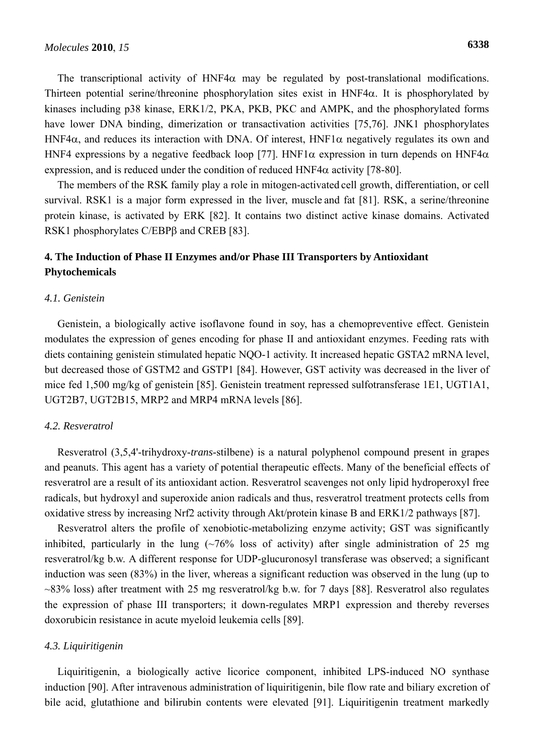The transcriptional activity of HNF4 $\alpha$  may be regulated by post-translational modifications. Thirteen potential serine/threonine phosphorylation sites exist in HNF4 $\alpha$ . It is phosphorylated by kinases including p38 kinase, ERK1/2, PKA, PKB, PKC and AMPK, and the phosphorylated forms have lower DNA binding, dimerization or transactivation activities [75,76]. JNK1 phosphorylates HNF4 $\alpha$ , and reduces its interaction with DNA. Of interest, HNF1 $\alpha$  negatively regulates its own and HNF4 expressions by a negative feedback loop [77]. HNF1 $\alpha$  expression in turn depends on HNF4 $\alpha$ expression, and is reduced under the condition of reduced HNF4 $\alpha$  activity [78-80].

The members of the RSK family play a role in mitogen-activated cell growth, differentiation, or cell survival. RSK1 is a major form expressed in the liver, muscle and fat [81]. RSK, a serine/threonine protein kinase, is activated by ERK [82]. It contains two distinct active kinase domains. Activated RSK1 phosphorylates C/EBPβ and CREB [83].

# **4. The Induction of Phase II Enzymes and/or Phase III Transporters by Antioxidant Phytochemicals**

#### *4.1. Genistein*

Genistein, a biologically active isoflavone found in soy, has a chemopreventive effect. Genistein modulates the expression of genes encoding for phase II and antioxidant enzymes. Feeding rats with diets containing genistein stimulated hepatic NQO-1 activity. It increased hepatic GSTA2 mRNA level, but decreased those of GSTM2 and GSTP1 [84]. However, GST activity was decreased in the liver of mice fed 1,500 mg/kg of genistein [85]. Genistein treatment repressed sulfotransferase 1E1, UGT1A1, UGT2B7, UGT2B15, MRP2 and MRP4 mRNA levels [86].

#### *4.2. Resveratrol*

Resveratrol (3,5,4'-trihydroxy-*trans*-stilbene) is a natural polyphenol compound present in grapes and peanuts. This agent has a variety of potential therapeutic effects. Many of the beneficial effects of resveratrol are a result of its antioxidant action. Resveratrol scavenges not only lipid hydroperoxyl free radicals, but hydroxyl and superoxide anion radicals and thus, resveratrol treatment protects cells from oxidative stress by increasing Nrf2 activity through Akt/protein kinase B and ERK1/2 pathways [87].

Resveratrol alters the profile of xenobiotic-metabolizing enzyme activity; GST was significantly inhibited, particularly in the lung  $(\sim 76\%$  loss of activity) after single administration of 25 mg resveratrol/kg b.w. A different response for UDP-glucuronosyl transferase was observed; a significant induction was seen (83%) in the liver, whereas a significant reduction was observed in the lung (up to ~83% loss) after treatment with 25 mg resveratrol/kg b.w. for 7 days [88]. Resveratrol also regulates the expression of phase III transporters; it down-regulates MRP1 expression and thereby reverses doxorubicin resistance in acute myeloid leukemia cells [89].

#### *4.3. Liquiritigenin*

Liquiritigenin, a biologically active licorice component, inhibited LPS-induced NO synthase induction [90]. After intravenous administration of liquiritigenin, bile flow rate and biliary excretion of bile acid, glutathione and bilirubin contents were elevated [91]. Liquiritigenin treatment markedly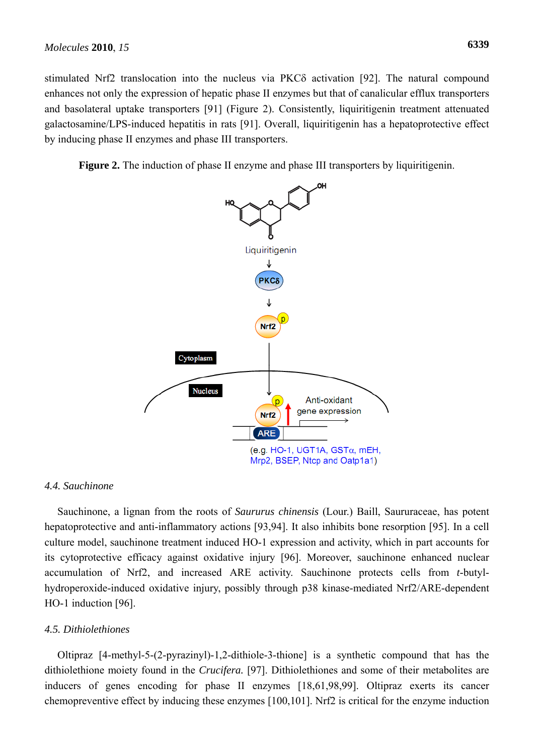stimulated Nrf2 translocation into the nucleus via PKCδ activation [92]. The natural compound enhances not only the expression of hepatic phase II enzymes but that of canalicular efflux transporters and basolateral uptake transporters [91] (Figure 2). Consistently, liquiritigenin treatment attenuated galactosamine/LPS-induced hepatitis in rats [91]. Overall, liquiritigenin has a hepatoprotective effect by inducing phase II enzymes and phase III transporters.

**Figure 2.** The induction of phase II enzyme and phase III transporters by liquiritigenin.



#### *4.4. Sauchinone*

Sauchinone, a lignan from the roots of *Saururus chinensis* (Lour.) Baill, Saururaceae, has potent hepatoprotective and anti-inflammatory actions [93,94]. It also inhibits bone resorption [95]. In a cell culture model, sauchinone treatment induced HO-1 expression and activity, which in part accounts for its cytoprotective efficacy against oxidative injury [96]. Moreover, sauchinone enhanced nuclear accumulation of Nrf2, and increased ARE activity. Sauchinone protects cells from *t*-butylhydroperoxide-induced oxidative injury, possibly through p38 kinase-mediated Nrf2/ARE-dependent HO-1 induction [96].

#### *4.5. Dithiolethiones*

Oltipraz [4-methyl-5-(2-pyrazinyl)-1,2-dithiole-3-thione] is a synthetic compound that has the dithiolethione moiety found in the *Crucifera.* [97]. Dithiolethiones and some of their metabolites are inducers of genes encoding for phase II enzymes [18,61,98,99]. Oltipraz exerts its cancer chemopreventive effect by inducing these enzymes [100,101]. Nrf2 is critical for the enzyme induction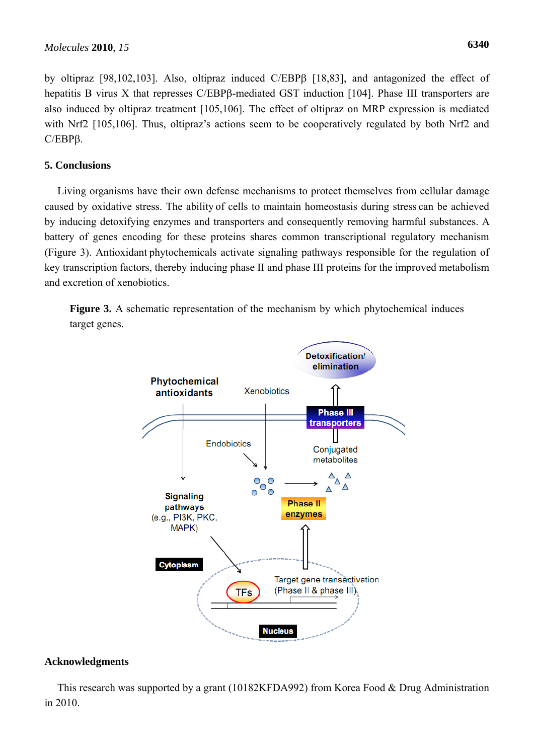by oltipraz [98,102,103]. Also, oltipraz induced C/EBPβ [18,83], and antagonized the effect of hepatitis B virus X that represses C/EBPβ-mediated GST induction [104]. Phase III transporters are also induced by oltipraz treatment [105,106]. The effect of oltipraz on MRP expression is mediated with Nrf2 [105,106]. Thus, oltipraz's actions seem to be cooperatively regulated by both Nrf2 and C/EBPβ.

# **5. Conclusions**

Living organisms have their own defense mechanisms to protect themselves from cellular damage caused by oxidative stress. The ability of cells to maintain homeostasis during stress can be achieved by inducing detoxifying enzymes and transporters and consequently removing harmful substances. A battery of genes encoding for these proteins shares common transcriptional regulatory mechanism (Figure 3). Antioxidant phytochemicals activate signaling pathways responsible for the regulation of key transcription factors, thereby inducing phase II and phase III proteins for the improved metabolism and excretion of xenobiotics.





## **Acknowledgments**

This research was supported by a grant (10182KFDA992) from Korea Food & Drug Administration in 2010.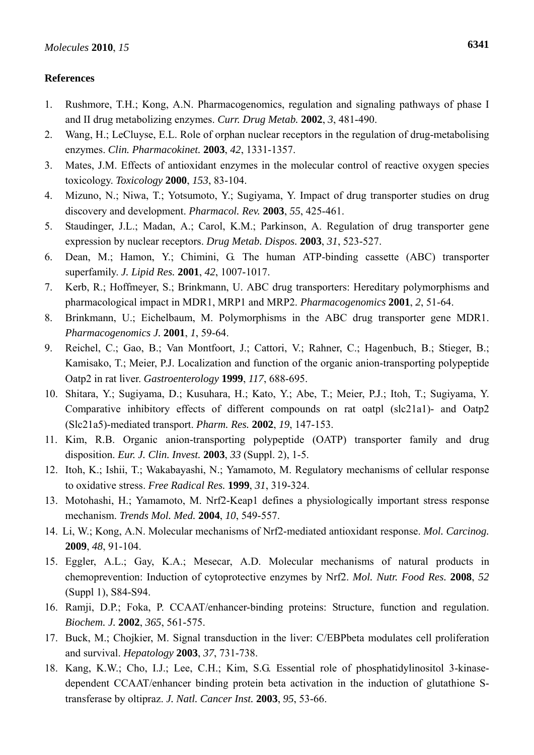## **References**

- 1. Rushmore, T.H.; Kong, A.N. Pharmacogenomics, regulation and signaling pathways of phase I and II drug metabolizing enzymes. *Curr. Drug Metab.* **2002**, *3*, 481-490.
- 2. Wang, H.; LeCluyse, E.L. Role of orphan nuclear receptors in the regulation of drug-metabolising enzymes. *Clin. Pharmacokinet.* **2003**, *42*, 1331-1357.
- 3. Mates, J.M. Effects of antioxidant enzymes in the molecular control of reactive oxygen species toxicology. *Toxicology* **2000**, *153*, 83-104.
- 4. Mizuno, N.; Niwa, T.; Yotsumoto, Y.; Sugiyama, Y. Impact of drug transporter studies on drug discovery and development. *Pharmacol. Rev.* **2003**, *55*, 425-461.
- 5. Staudinger, J.L.; Madan, A.; Carol, K.M.; Parkinson, A. Regulation of drug transporter gene expression by nuclear receptors. *Drug Metab. Dispos.* **2003**, *31*, 523-527.
- 6. Dean, M.; Hamon, Y.; Chimini, G. The human ATP-binding cassette (ABC) transporter superfamily. *J. Lipid Res.* **2001**, *42*, 1007-1017.
- 7. Kerb, R.; Hoffmeyer, S.; Brinkmann, U. ABC drug transporters: Hereditary polymorphisms and pharmacological impact in MDR1, MRP1 and MRP2. *Pharmacogenomics* **2001**, *2*, 51-64.
- 8. Brinkmann, U.; Eichelbaum, M. Polymorphisms in the ABC drug transporter gene MDR1. *Pharmacogenomics J.* **2001**, *1*, 59-64.
- 9. Reichel, C.; Gao, B.; Van Montfoort, J.; Cattori, V.; Rahner, C.; Hagenbuch, B.; Stieger, B.; Kamisako, T.; Meier, P.J. Localization and function of the organic anion-transporting polypeptide Oatp2 in rat liver. *Gastroenterology* **1999**, *117*, 688-695.
- 10. Shitara, Y.; Sugiyama, D.; Kusuhara, H.; Kato, Y.; Abe, T.; Meier, P.J.; Itoh, T.; Sugiyama, Y. Comparative inhibitory effects of different compounds on rat oatpl (slc21a1)- and Oatp2 (Slc21a5)-mediated transport. *Pharm. Res.* **2002**, *19*, 147-153.
- 11. Kim, R.B. Organic anion-transporting polypeptide (OATP) transporter family and drug disposition. *Eur. J. Clin. Invest.* **2003**, *33* (Suppl. 2), 1-5.
- 12. Itoh, K.; Ishii, T.; Wakabayashi, N.; Yamamoto, M. Regulatory mechanisms of cellular response to oxidative stress. *Free Radical Res.* **1999**, *31*, 319-324.
- 13. Motohashi, H.; Yamamoto, M. Nrf2-Keap1 defines a physiologically important stress response mechanism. *Trends Mol. Med.* **2004**, *10*, 549-557.
- 14. Li, W.; Kong, A.N. Molecular mechanisms of Nrf2-mediated antioxidant response. *Mol. Carcinog.*  **2009**, *48*, 91-104.
- 15. Eggler, A.L.; Gay, K.A.; Mesecar, A.D. Molecular mechanisms of natural products in chemoprevention: Induction of cytoprotective enzymes by Nrf2. *Mol. Nutr. Food Res.* **2008**, *52* (Suppl 1), S84-S94.
- 16. Ramji, D.P.; Foka, P. CCAAT/enhancer-binding proteins: Structure, function and regulation. *Biochem. J.* **2002**, *365*, 561-575.
- 17. Buck, M.; Chojkier, M. Signal transduction in the liver: C/EBPbeta modulates cell proliferation and survival. *Hepatology* **2003**, *37*, 731-738.
- 18. Kang, K.W.; Cho, I.J.; Lee, C.H.; Kim, S.G. Essential role of phosphatidylinositol 3-kinasedependent CCAAT/enhancer binding protein beta activation in the induction of glutathione Stransferase by oltipraz. *J. Natl. Cancer Inst.* **2003**, *95*, 53-66.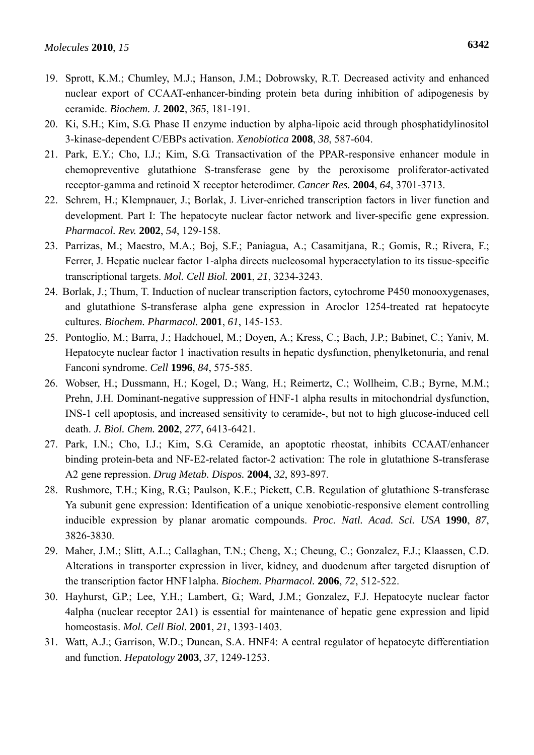- 20. Ki, S.H.; Kim, S.G. Phase II enzyme induction by alpha-lipoic acid through phosphatidylinositol 3-kinase-dependent C/EBPs activation. *Xenobiotica* **2008**, *38*, 587-604.
- 21. Park, E.Y.; Cho, I.J.; Kim, S.G. Transactivation of the PPAR-responsive enhancer module in chemopreventive glutathione S-transferase gene by the peroxisome proliferator-activated receptor-gamma and retinoid X receptor heterodimer. *Cancer Res.* **2004**, *64*, 3701-3713.
- 22. Schrem, H.; Klempnauer, J.; Borlak, J. Liver-enriched transcription factors in liver function and development. Part I: The hepatocyte nuclear factor network and liver-specific gene expression. *Pharmacol. Rev.* **2002**, *54*, 129-158.
- 23. Parrizas, M.; Maestro, M.A.; Boj, S.F.; Paniagua, A.; Casamitjana, R.; Gomis, R.; Rivera, F.; Ferrer, J. Hepatic nuclear factor 1-alpha directs nucleosomal hyperacetylation to its tissue-specific transcriptional targets. *Mol. Cell Biol.* **2001**, *21*, 3234-3243.
- 24. Borlak, J.; Thum, T. Induction of nuclear transcription factors, cytochrome P450 monooxygenases, and glutathione S-transferase alpha gene expression in Aroclor 1254-treated rat hepatocyte cultures. *Biochem. Pharmacol.* **2001**, *61*, 145-153.
- 25. Pontoglio, M.; Barra, J.; Hadchouel, M.; Doyen, A.; Kress, C.; Bach, J.P.; Babinet, C.; Yaniv, M. Hepatocyte nuclear factor 1 inactivation results in hepatic dysfunction, phenylketonuria, and renal Fanconi syndrome. *Cell* **1996**, *84*, 575-585.
- 26. Wobser, H.; Dussmann, H.; Kogel, D.; Wang, H.; Reimertz, C.; Wollheim, C.B.; Byrne, M.M.; Prehn, J.H. Dominant-negative suppression of HNF-1 alpha results in mitochondrial dysfunction, INS-1 cell apoptosis, and increased sensitivity to ceramide-, but not to high glucose-induced cell death. *J. Biol. Chem.* **2002**, *277*, 6413-6421.
- 27. Park, I.N.; Cho, I.J.; Kim, S.G. Ceramide, an apoptotic rheostat, inhibits CCAAT/enhancer binding protein-beta and NF-E2-related factor-2 activation: The role in glutathione S-transferase A2 gene repression. *Drug Metab. Dispos.* **2004**, *32*, 893-897.
- 28. Rushmore, T.H.; King, R.G.; Paulson, K.E.; Pickett, C.B. Regulation of glutathione S-transferase Ya subunit gene expression: Identification of a unique xenobiotic-responsive element controlling inducible expression by planar aromatic compounds. *Proc. Natl. Acad. Sci. USA* **1990**, *87*, 3826-3830.
- 29. Maher, J.M.; Slitt, A.L.; Callaghan, T.N.; Cheng, X.; Cheung, C.; Gonzalez, F.J.; Klaassen, C.D. Alterations in transporter expression in liver, kidney, and duodenum after targeted disruption of the transcription factor HNF1alpha. *Biochem. Pharmacol.* **2006**, *72*, 512-522.
- 30. Hayhurst, G.P.; Lee, Y.H.; Lambert, G.; Ward, J.M.; Gonzalez, F.J. Hepatocyte nuclear factor 4alpha (nuclear receptor 2A1) is essential for maintenance of hepatic gene expression and lipid homeostasis. *Mol. Cell Biol.* **2001**, *21*, 1393-1403.
- 31. Watt, A.J.; Garrison, W.D.; Duncan, S.A. HNF4: A central regulator of hepatocyte differentiation and function. *Hepatology* **2003**, *37*, 1249-1253.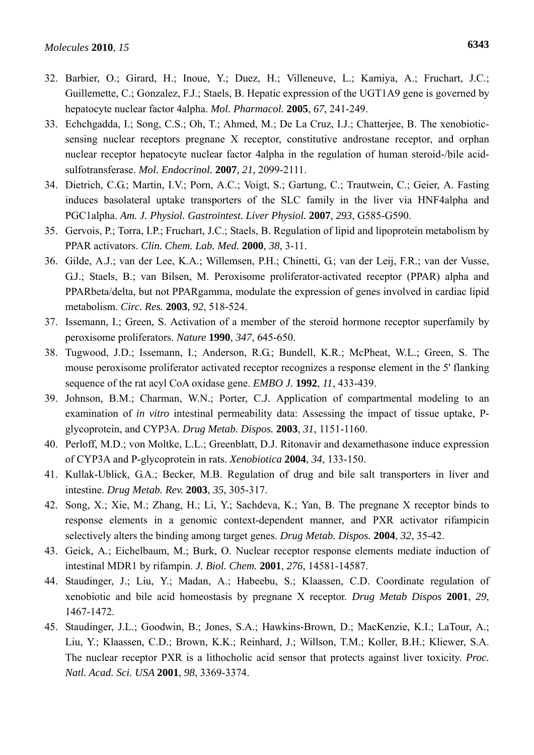- 32. Barbier, O.; Girard, H.; Inoue, Y.; Duez, H.; Villeneuve, L.; Kamiya, A.; Fruchart, J.C.; Guillemette, C.; Gonzalez, F.J.; Staels, B. Hepatic expression of the UGT1A9 gene is governed by hepatocyte nuclear factor 4alpha. *Mol. Pharmacol.* **2005**, *67*, 241-249.
- 33. Echchgadda, I.; Song, C.S.; Oh, T.; Ahmed, M.; De La Cruz, I.J.; Chatterjee, B. The xenobioticsensing nuclear receptors pregnane X receptor, constitutive androstane receptor, and orphan nuclear receptor hepatocyte nuclear factor 4alpha in the regulation of human steroid-/bile acidsulfotransferase. *Mol. Endocrinol.* **2007**, *21*, 2099-2111.
- 34. Dietrich, C.G.; Martin, I.V.; Porn, A.C.; Voigt, S.; Gartung, C.; Trautwein, C.; Geier, A. Fasting induces basolateral uptake transporters of the SLC family in the liver via HNF4alpha and PGC1alpha. *Am. J. Physiol. Gastrointest. Liver Physiol.* **2007**, *293*, G585-G590.
- 35. Gervois, P.; Torra, I.P.; Fruchart, J.C.; Staels, B. Regulation of lipid and lipoprotein metabolism by PPAR activators. *Clin. Chem. Lab. Med.* **2000**, *38*, 3-11.
- 36. Gilde, A.J.; van der Lee, K.A.; Willemsen, P.H.; Chinetti, G.; van der Leij, F.R.; van der Vusse, G.J.; Staels, B.; van Bilsen, M. Peroxisome proliferator-activated receptor (PPAR) alpha and PPARbeta/delta, but not PPARgamma, modulate the expression of genes involved in cardiac lipid metabolism. *Circ. Res.* **2003**, *92*, 518-524.
- 37. Issemann, I.; Green, S. Activation of a member of the steroid hormone receptor superfamily by peroxisome proliferators. *Nature* **1990**, *347*, 645-650.
- 38. Tugwood, J.D.; Issemann, I.; Anderson, R.G.; Bundell, K.R.; McPheat, W.L.; Green, S. The mouse peroxisome proliferator activated receptor recognizes a response element in the 5' flanking sequence of the rat acyl CoA oxidase gene. *EMBO J.* **1992**, *11*, 433-439.
- 39. Johnson, B.M.; Charman, W.N.; Porter, C.J. Application of compartmental modeling to an examination of *in vitro* intestinal permeability data: Assessing the impact of tissue uptake, Pglycoprotein, and CYP3A. *Drug Metab. Dispos.* **2003**, *31*, 1151-1160.
- 40. Perloff, M.D.; von Moltke, L.L.; Greenblatt, D.J. Ritonavir and dexamethasone induce expression of CYP3A and P-glycoprotein in rats. *Xenobiotica* **2004**, *34*, 133-150.
- 41. Kullak-Ublick, G.A.; Becker, M.B. Regulation of drug and bile salt transporters in liver and intestine. *Drug Metab. Rev.* **2003**, *35*, 305-317.
- 42. Song, X.; Xie, M.; Zhang, H.; Li, Y.; Sachdeva, K.; Yan, B. The pregnane X receptor binds to response elements in a genomic context-dependent manner, and PXR activator rifampicin selectively alters the binding among target genes. *Drug Metab. Dispos.* **2004**, *32*, 35-42.
- 43. Geick, A.; Eichelbaum, M.; Burk, O. Nuclear receptor response elements mediate induction of intestinal MDR1 by rifampin. *J. Biol. Chem.* **2001**, *276*, 14581-14587.
- 44. Staudinger, J.; Liu, Y.; Madan, A.; Habeebu, S.; Klaassen, C.D. Coordinate regulation of xenobiotic and bile acid homeostasis by pregnane X receptor. *Drug Metab Dispos* **2001**, *29*, 1467-1472.
- 45. Staudinger, J.L.; Goodwin, B.; Jones, S.A.; Hawkins-Brown, D.; MacKenzie, K.I.; LaTour, A.; Liu, Y.; Klaassen, C.D.; Brown, K.K.; Reinhard, J.; Willson, T.M.; Koller, B.H.; Kliewer, S.A. The nuclear receptor PXR is a lithocholic acid sensor that protects against liver toxicity. *Proc. Natl. Acad. Sci. USA* **2001**, *98*, 3369-3374.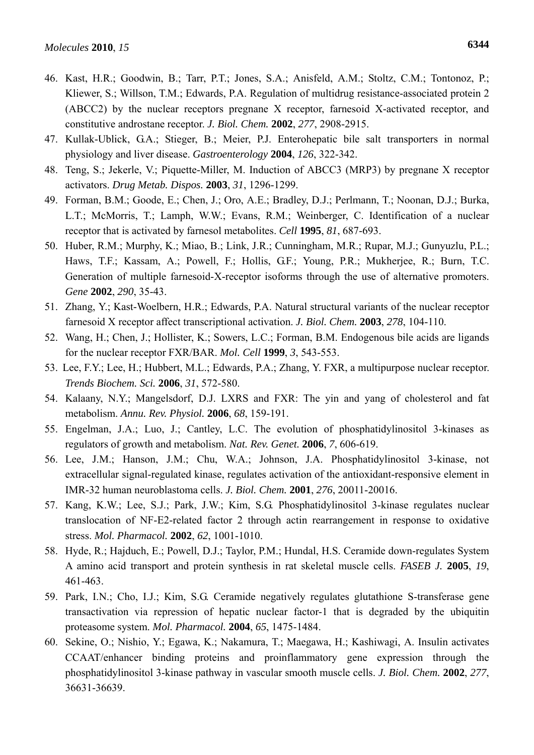- 46. Kast, H.R.; Goodwin, B.; Tarr, P.T.; Jones, S.A.; Anisfeld, A.M.; Stoltz, C.M.; Tontonoz, P.; Kliewer, S.; Willson, T.M.; Edwards, P.A. Regulation of multidrug resistance-associated protein 2 (ABCC2) by the nuclear receptors pregnane X receptor, farnesoid X-activated receptor, and constitutive androstane receptor. *J. Biol. Chem.* **2002**, *277*, 2908-2915.
- 47. Kullak-Ublick, G.A.; Stieger, B.; Meier, P.J. Enterohepatic bile salt transporters in normal physiology and liver disease. *Gastroenterology* **2004**, *126*, 322-342.
- 48. Teng, S.; Jekerle, V.; Piquette-Miller, M. Induction of ABCC3 (MRP3) by pregnane X receptor activators. *Drug Metab. Dispos.* **2003**, *31*, 1296-1299.
- 49. Forman, B.M.; Goode, E.; Chen, J.; Oro, A.E.; Bradley, D.J.; Perlmann, T.; Noonan, D.J.; Burka, L.T.; McMorris, T.; Lamph, W.W.; Evans, R.M.; Weinberger, C. Identification of a nuclear receptor that is activated by farnesol metabolites. *Cell* **1995**, *81*, 687-693.
- 50. Huber, R.M.; Murphy, K.; Miao, B.; Link, J.R.; Cunningham, M.R.; Rupar, M.J.; Gunyuzlu, P.L.; Haws, T.F.; Kassam, A.; Powell, F.; Hollis, G.F.; Young, P.R.; Mukherjee, R.; Burn, T.C. Generation of multiple farnesoid-X-receptor isoforms through the use of alternative promoters. *Gene* **2002**, *290*, 35-43.
- 51. Zhang, Y.; Kast-Woelbern, H.R.; Edwards, P.A. Natural structural variants of the nuclear receptor farnesoid X receptor affect transcriptional activation. *J. Biol. Chem.* **2003**, *278*, 104-110.
- 52. Wang, H.; Chen, J.; Hollister, K.; Sowers, L.C.; Forman, B.M. Endogenous bile acids are ligands for the nuclear receptor FXR/BAR. *Mol. Cell* **1999**, *3*, 543-553.
- 53. Lee, F.Y.; Lee, H.; Hubbert, M.L.; Edwards, P.A.; Zhang, Y. FXR, a multipurpose nuclear receptor. *Trends Biochem. Sci.* **2006**, *31*, 572-580.
- 54. Kalaany, N.Y.; Mangelsdorf, D.J. LXRS and FXR: The yin and yang of cholesterol and fat metabolism. *Annu. Rev. Physiol.* **2006**, *68*, 159-191.
- 55. Engelman, J.A.; Luo, J.; Cantley, L.C. The evolution of phosphatidylinositol 3-kinases as regulators of growth and metabolism. *Nat. Rev. Genet.* **2006**, *7*, 606-619.
- 56. Lee, J.M.; Hanson, J.M.; Chu, W.A.; Johnson, J.A. Phosphatidylinositol 3-kinase, not extracellular signal-regulated kinase, regulates activation of the antioxidant-responsive element in IMR-32 human neuroblastoma cells. *J. Biol. Chem.* **2001**, *276*, 20011-20016.
- 57. Kang, K.W.; Lee, S.J.; Park, J.W.; Kim, S.G. Phosphatidylinositol 3-kinase regulates nuclear translocation of NF-E2-related factor 2 through actin rearrangement in response to oxidative stress. *Mol. Pharmacol.* **2002**, *62*, 1001-1010.
- 58. Hyde, R.; Hajduch, E.; Powell, D.J.; Taylor, P.M.; Hundal, H.S. Ceramide down-regulates System A amino acid transport and protein synthesis in rat skeletal muscle cells. *FASEB J.* **2005**, *19*, 461-463.
- 59. Park, I.N.; Cho, I.J.; Kim, S.G. Ceramide negatively regulates glutathione S-transferase gene transactivation via repression of hepatic nuclear factor-1 that is degraded by the ubiquitin proteasome system. *Mol. Pharmacol.* **2004**, *65*, 1475-1484.
- 60. Sekine, O.; Nishio, Y.; Egawa, K.; Nakamura, T.; Maegawa, H.; Kashiwagi, A. Insulin activates CCAAT/enhancer binding proteins and proinflammatory gene expression through the phosphatidylinositol 3-kinase pathway in vascular smooth muscle cells. *J. Biol. Chem.* **2002**, *277*, 36631-36639.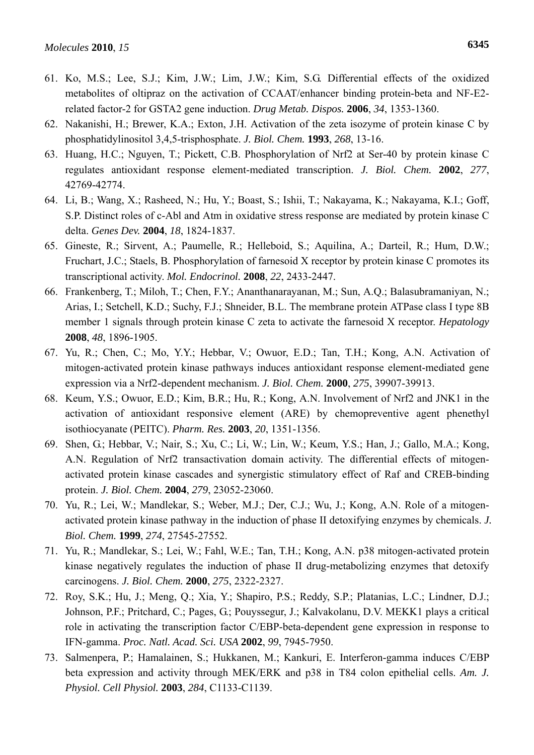- 61. Ko, M.S.; Lee, S.J.; Kim, J.W.; Lim, J.W.; Kim, S.G. Differential effects of the oxidized metabolites of oltipraz on the activation of CCAAT/enhancer binding protein-beta and NF-E2 related factor-2 for GSTA2 gene induction. *Drug Metab. Dispos.* **2006**, *34*, 1353-1360.
- 62. Nakanishi, H.; Brewer, K.A.; Exton, J.H. Activation of the zeta isozyme of protein kinase C by phosphatidylinositol 3,4,5-trisphosphate. *J. Biol. Chem.* **1993**, *268*, 13-16.
- 63. Huang, H.C.; Nguyen, T.; Pickett, C.B. Phosphorylation of Nrf2 at Ser-40 by protein kinase C regulates antioxidant response element-mediated transcription. *J. Biol. Chem.* **2002**, *277*, 42769-42774.
- 64. Li, B.; Wang, X.; Rasheed, N.; Hu, Y.; Boast, S.; Ishii, T.; Nakayama, K.; Nakayama, K.I.; Goff, S.P. Distinct roles of c-Abl and Atm in oxidative stress response are mediated by protein kinase C delta. *Genes Dev.* **2004**, *18*, 1824-1837.
- 65. Gineste, R.; Sirvent, A.; Paumelle, R.; Helleboid, S.; Aquilina, A.; Darteil, R.; Hum, D.W.; Fruchart, J.C.; Staels, B. Phosphorylation of farnesoid X receptor by protein kinase C promotes its transcriptional activity. *Mol. Endocrinol.* **2008**, *22*, 2433-2447.
- 66. Frankenberg, T.; Miloh, T.; Chen, F.Y.; Ananthanarayanan, M.; Sun, A.Q.; Balasubramaniyan, N.; Arias, I.; Setchell, K.D.; Suchy, F.J.; Shneider, B.L. The membrane protein ATPase class I type 8B member 1 signals through protein kinase C zeta to activate the farnesoid X receptor. *Hepatology*  **2008**, *48*, 1896-1905.
- 67. Yu, R.; Chen, C.; Mo, Y.Y.; Hebbar, V.; Owuor, E.D.; Tan, T.H.; Kong, A.N. Activation of mitogen-activated protein kinase pathways induces antioxidant response element-mediated gene expression via a Nrf2-dependent mechanism. *J. Biol. Chem.* **2000**, *275*, 39907-39913.
- 68. Keum, Y.S.; Owuor, E.D.; Kim, B.R.; Hu, R.; Kong, A.N. Involvement of Nrf2 and JNK1 in the activation of antioxidant responsive element (ARE) by chemopreventive agent phenethyl isothiocyanate (PEITC). *Pharm. Res.* **2003**, *20*, 1351-1356.
- 69. Shen, G.; Hebbar, V.; Nair, S.; Xu, C.; Li, W.; Lin, W.; Keum, Y.S.; Han, J.; Gallo, M.A.; Kong, A.N. Regulation of Nrf2 transactivation domain activity. The differential effects of mitogenactivated protein kinase cascades and synergistic stimulatory effect of Raf and CREB-binding protein. *J. Biol. Chem.* **2004**, *279*, 23052-23060.
- 70. Yu, R.; Lei, W.; Mandlekar, S.; Weber, M.J.; Der, C.J.; Wu, J.; Kong, A.N. Role of a mitogenactivated protein kinase pathway in the induction of phase II detoxifying enzymes by chemicals. *J. Biol. Chem.* **1999**, *274*, 27545-27552.
- 71. Yu, R.; Mandlekar, S.; Lei, W.; Fahl, W.E.; Tan, T.H.; Kong, A.N. p38 mitogen-activated protein kinase negatively regulates the induction of phase II drug-metabolizing enzymes that detoxify carcinogens. *J. Biol. Chem.* **2000**, *275*, 2322-2327.
- 72. Roy, S.K.; Hu, J.; Meng, Q.; Xia, Y.; Shapiro, P.S.; Reddy, S.P.; Platanias, L.C.; Lindner, D.J.; Johnson, P.F.; Pritchard, C.; Pages, G.; Pouyssegur, J.; Kalvakolanu, D.V. MEKK1 plays a critical role in activating the transcription factor C/EBP-beta-dependent gene expression in response to IFN-gamma. *Proc. Natl. Acad. Sci. USA* **2002**, *99*, 7945-7950.
- 73. Salmenpera, P.; Hamalainen, S.; Hukkanen, M.; Kankuri, E. Interferon-gamma induces C/EBP beta expression and activity through MEK/ERK and p38 in T84 colon epithelial cells. *Am. J. Physiol. Cell Physiol.* **2003**, *284*, C1133-C1139.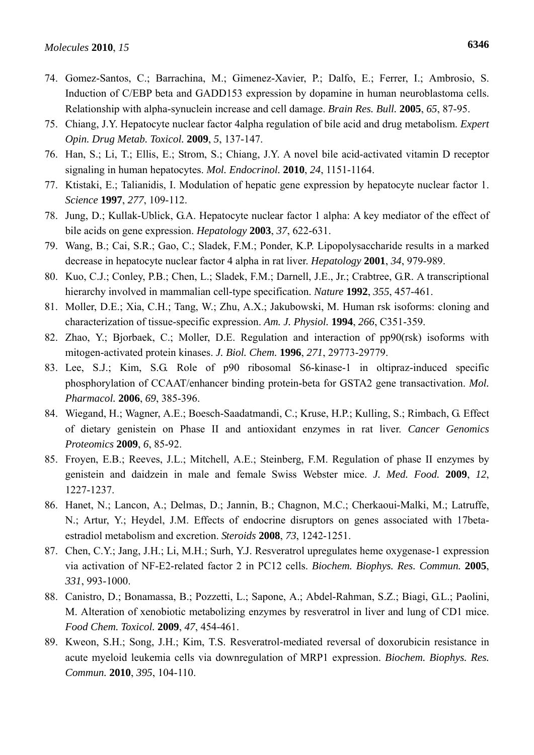- 74. Gomez-Santos, C.; Barrachina, M.; Gimenez-Xavier, P.; Dalfo, E.; Ferrer, I.; Ambrosio, S. Induction of C/EBP beta and GADD153 expression by dopamine in human neuroblastoma cells. Relationship with alpha-synuclein increase and cell damage. *Brain Res. Bull.* **2005**, *65*, 87-95.
- 75. Chiang, J.Y. Hepatocyte nuclear factor 4alpha regulation of bile acid and drug metabolism. *Expert Opin. Drug Metab. Toxicol.* **2009**, *5*, 137-147.
- 76. Han, S.; Li, T.; Ellis, E.; Strom, S.; Chiang, J.Y. A novel bile acid-activated vitamin D receptor signaling in human hepatocytes. *Mol. Endocrinol.* **2010**, *24*, 1151-1164.
- 77. Ktistaki, E.; Talianidis, I. Modulation of hepatic gene expression by hepatocyte nuclear factor 1. *Science* **1997**, *277*, 109-112.
- 78. Jung, D.; Kullak-Ublick, G.A. Hepatocyte nuclear factor 1 alpha: A key mediator of the effect of bile acids on gene expression. *Hepatology* **2003**, *37*, 622-631.
- 79. Wang, B.; Cai, S.R.; Gao, C.; Sladek, F.M.; Ponder, K.P. Lipopolysaccharide results in a marked decrease in hepatocyte nuclear factor 4 alpha in rat liver. *Hepatology* **2001**, *34*, 979-989.
- 80. Kuo, C.J.; Conley, P.B.; Chen, L.; Sladek, F.M.; Darnell, J.E., Jr.; Crabtree, G.R. A transcriptional hierarchy involved in mammalian cell-type specification. *Nature* **1992**, *355*, 457-461.
- 81. Moller, D.E.; Xia, C.H.; Tang, W.; Zhu, A.X.; Jakubowski, M. Human rsk isoforms: cloning and characterization of tissue-specific expression. *Am. J. Physiol.* **1994**, *266*, C351-359.
- 82. Zhao, Y.; Bjorbaek, C.; Moller, D.E. Regulation and interaction of pp90(rsk) isoforms with mitogen-activated protein kinases. *J. Biol. Chem.* **1996**, *271*, 29773-29779.
- 83. Lee, S.J.; Kim, S.G. Role of p90 ribosomal S6-kinase-1 in oltipraz-induced specific phosphorylation of CCAAT/enhancer binding protein-beta for GSTA2 gene transactivation. *Mol. Pharmacol.* **2006**, *69*, 385-396.
- 84. Wiegand, H.; Wagner, A.E.; Boesch-Saadatmandi, C.; Kruse, H.P.; Kulling, S.; Rimbach, G. Effect of dietary genistein on Phase II and antioxidant enzymes in rat liver. *Cancer Genomics Proteomics* **2009**, *6*, 85-92.
- 85. Froyen, E.B.; Reeves, J.L.; Mitchell, A.E.; Steinberg, F.M. Regulation of phase II enzymes by genistein and daidzein in male and female Swiss Webster mice. *J. Med. Food.* **2009**, *12*, 1227-1237.
- 86. Hanet, N.; Lancon, A.; Delmas, D.; Jannin, B.; Chagnon, M.C.; Cherkaoui-Malki, M.; Latruffe, N.; Artur, Y.; Heydel, J.M. Effects of endocrine disruptors on genes associated with 17betaestradiol metabolism and excretion. *Steroids* **2008**, *73*, 1242-1251.
- 87. Chen, C.Y.; Jang, J.H.; Li, M.H.; Surh, Y.J. Resveratrol upregulates heme oxygenase-1 expression via activation of NF-E2-related factor 2 in PC12 cells. *Biochem. Biophys. Res. Commun.* **2005**, *331*, 993-1000.
- 88. Canistro, D.; Bonamassa, B.; Pozzetti, L.; Sapone, A.; Abdel-Rahman, S.Z.; Biagi, G.L.; Paolini, M. Alteration of xenobiotic metabolizing enzymes by resveratrol in liver and lung of CD1 mice. *Food Chem. Toxicol.* **2009**, *47*, 454-461.
- 89. Kweon, S.H.; Song, J.H.; Kim, T.S. Resveratrol-mediated reversal of doxorubicin resistance in acute myeloid leukemia cells via downregulation of MRP1 expression. *Biochem. Biophys. Res. Commun.* **2010**, *395*, 104-110.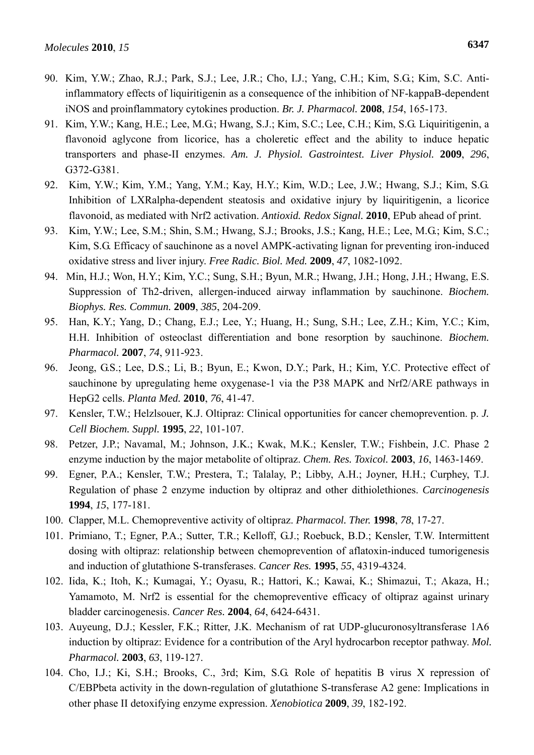- 90. Kim, Y.W.; Zhao, R.J.; Park, S.J.; Lee, J.R.; Cho, I.J.; Yang, C.H.; Kim, S.G.; Kim, S.C. Antiinflammatory effects of liquiritigenin as a consequence of the inhibition of NF-kappaB-dependent iNOS and proinflammatory cytokines production. *Br. J. Pharmacol.* **2008**, *154*, 165-173.
- 91. Kim, Y.W.; Kang, H.E.; Lee, M.G.; Hwang, S.J.; Kim, S.C.; Lee, C.H.; Kim, S.G. Liquiritigenin, a flavonoid aglycone from licorice, has a choleretic effect and the ability to induce hepatic transporters and phase-II enzymes. *Am. J. Physiol. Gastrointest. Liver Physiol.* **2009**, *296*, G372-G381.
- 92. Kim, Y.W.; Kim, Y.M.; Yang, Y.M.; Kay, H.Y.; Kim, W.D.; Lee, J.W.; Hwang, S.J.; Kim, S.G. Inhibition of LXRalpha-dependent steatosis and oxidative injury by liquiritigenin, a licorice flavonoid, as mediated with Nrf2 activation. *Antioxid. Redox Signal.* **2010**, EPub ahead of print.
- 93. Kim, Y.W.; Lee, S.M.; Shin, S.M.; Hwang, S.J.; Brooks, J.S.; Kang, H.E.; Lee, M.G.; Kim, S.C.; Kim, S.G. Efficacy of sauchinone as a novel AMPK-activating lignan for preventing iron-induced oxidative stress and liver injury. *Free Radic. Biol. Med.* **2009**, *47*, 1082-1092.
- 94. Min, H.J.; Won, H.Y.; Kim, Y.C.; Sung, S.H.; Byun, M.R.; Hwang, J.H.; Hong, J.H.; Hwang, E.S. Suppression of Th2-driven, allergen-induced airway inflammation by sauchinone. *Biochem. Biophys. Res. Commun.* **2009**, *385*, 204-209.
- 95. Han, K.Y.; Yang, D.; Chang, E.J.; Lee, Y.; Huang, H.; Sung, S.H.; Lee, Z.H.; Kim, Y.C.; Kim, H.H. Inhibition of osteoclast differentiation and bone resorption by sauchinone. *Biochem. Pharmacol.* **2007**, *74*, 911-923.
- 96. Jeong, G.S.; Lee, D.S.; Li, B.; Byun, E.; Kwon, D.Y.; Park, H.; Kim, Y.C. Protective effect of sauchinone by upregulating heme oxygenase-1 via the P38 MAPK and Nrf2/ARE pathways in HepG2 cells. *Planta Med.* **2010**, *76*, 41-47.
- 97. Kensler, T.W.; Helzlsouer, K.J. Oltipraz: Clinical opportunities for cancer chemoprevention. p. *J. Cell Biochem. Suppl.* **1995**, *22*, 101-107.
- 98. Petzer, J.P.; Navamal, M.; Johnson, J.K.; Kwak, M.K.; Kensler, T.W.; Fishbein, J.C. Phase 2 enzyme induction by the major metabolite of oltipraz. *Chem. Res. Toxicol.* **2003**, *16*, 1463-1469.
- 99. Egner, P.A.; Kensler, T.W.; Prestera, T.; Talalay, P.; Libby, A.H.; Joyner, H.H.; Curphey, T.J. Regulation of phase 2 enzyme induction by oltipraz and other dithiolethiones. *Carcinogenesis*  **1994**, *15*, 177-181.
- 100. Clapper, M.L. Chemopreventive activity of oltipraz. *Pharmacol. Ther.* **1998**, *78*, 17-27.
- 101. Primiano, T.; Egner, P.A.; Sutter, T.R.; Kelloff, G.J.; Roebuck, B.D.; Kensler, T.W. Intermittent dosing with oltipraz: relationship between chemoprevention of aflatoxin-induced tumorigenesis and induction of glutathione S-transferases. *Cancer Res.* **1995**, *55*, 4319-4324.
- 102. Iida, K.; Itoh, K.; Kumagai, Y.; Oyasu, R.; Hattori, K.; Kawai, K.; Shimazui, T.; Akaza, H.; Yamamoto, M. Nrf2 is essential for the chemopreventive efficacy of oltipraz against urinary bladder carcinogenesis. *Cancer Res.* **2004**, *64*, 6424-6431.
- 103. Auyeung, D.J.; Kessler, F.K.; Ritter, J.K. Mechanism of rat UDP-glucuronosyltransferase 1A6 induction by oltipraz: Evidence for a contribution of the Aryl hydrocarbon receptor pathway. *Mol. Pharmacol.* **2003**, *63*, 119-127.
- 104. Cho, I.J.; Ki, S.H.; Brooks, C., 3rd; Kim, S.G. Role of hepatitis B virus X repression of C/EBPbeta activity in the down-regulation of glutathione S-transferase A2 gene: Implications in other phase II detoxifying enzyme expression. *Xenobiotica* **2009**, *39*, 182-192.